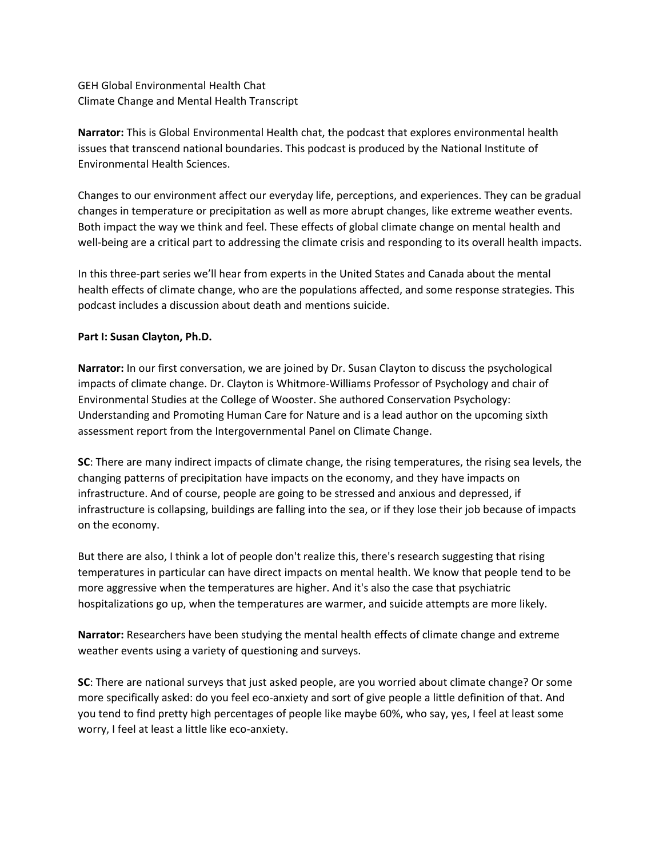GEH Global Environmental Health Chat Climate Change and Mental Health Transcript

**Narrator:** This is Global Environmental Health chat, the podcast that explores environmental health issues that transcend national boundaries. This podcast is produced by the National Institute of Environmental Health Sciences.

Changes to our environment affect our everyday life, perceptions, and experiences. They can be gradual changes in temperature or precipitation as well as more abrupt changes, like extreme weather events. Both impact the way we think and feel. These effects of global climate change on mental health and well-being are a critical part to addressing the climate crisis and responding to its overall health impacts.

In this three-part series we'll hear from experts in the United States and Canada about the mental health effects of climate change, who are the populations affected, and some response strategies. This podcast includes a discussion about death and mentions suicide.

## **Part I: Susan Clayton, Ph.D.**

**Narrator:** In our first conversation, we are joined by Dr. Susan Clayton to discuss the psychological impacts of climate change. Dr. Clayton is Whitmore-Williams Professor of Psychology and chair of Environmental Studies at the College of Wooster. She authored Conservation Psychology: Understanding and Promoting Human Care for Nature and is a lead author on the upcoming sixth assessment report from the Intergovernmental Panel on Climate Change.

**SC**: There are many indirect impacts of climate change, the rising temperatures, the rising sea levels, the changing patterns of precipitation have impacts on the economy, and they have impacts on infrastructure. And of course, people are going to be stressed and anxious and depressed, if infrastructure is collapsing, buildings are falling into the sea, or if they lose their job because of impacts on the economy.

But there are also, I think a lot of people don't realize this, there's research suggesting that rising temperatures in particular can have direct impacts on mental health. We know that people tend to be more aggressive when the temperatures are higher. And it's also the case that psychiatric hospitalizations go up, when the temperatures are warmer, and suicide attempts are more likely.

**Narrator:** Researchers have been studying the mental health effects of climate change and extreme weather events using a variety of questioning and surveys.

**SC**: There are national surveys that just asked people, are you worried about climate change? Or some more specifically asked: do you feel eco-anxiety and sort of give people a little definition of that. And you tend to find pretty high percentages of people like maybe 60%, who say, yes, I feel at least some worry, I feel at least a little like eco-anxiety.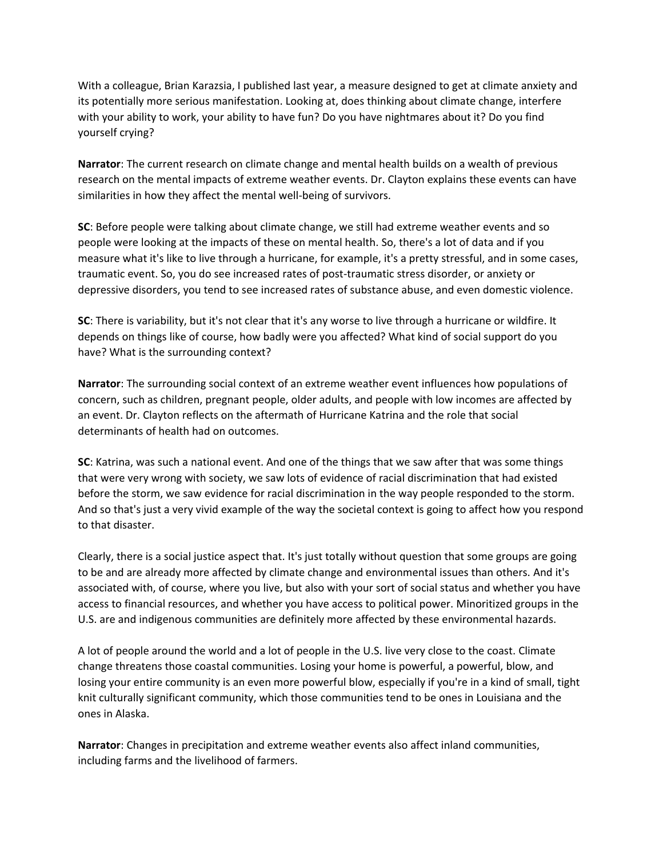With a colleague, Brian Karazsia, I published last year, a measure designed to get at climate anxiety and its potentially more serious manifestation. Looking at, does thinking about climate change, interfere with your ability to work, your ability to have fun? Do you have nightmares about it? Do you find yourself crying?

**Narrator**: The current research on climate change and mental health builds on a wealth of previous research on the mental impacts of extreme weather events. Dr. Clayton explains these events can have similarities in how they affect the mental well-being of survivors.

**SC**: Before people were talking about climate change, we still had extreme weather events and so people were looking at the impacts of these on mental health. So, there's a lot of data and if you measure what it's like to live through a hurricane, for example, it's a pretty stressful, and in some cases, traumatic event. So, you do see increased rates of post-traumatic stress disorder, or anxiety or depressive disorders, you tend to see increased rates of substance abuse, and even domestic violence.

**SC**: There is variability, but it's not clear that it's any worse to live through a hurricane or wildfire. It depends on things like of course, how badly were you affected? What kind of social support do you have? What is the surrounding context?

**Narrator**: The surrounding social context of an extreme weather event influences how populations of concern, such as children, pregnant people, older adults, and people with low incomes are affected by an event. Dr. Clayton reflects on the aftermath of Hurricane Katrina and the role that social determinants of health had on outcomes.

**SC**: Katrina, was such a national event. And one of the things that we saw after that was some things that were very wrong with society, we saw lots of evidence of racial discrimination that had existed before the storm, we saw evidence for racial discrimination in the way people responded to the storm. And so that's just a very vivid example of the way the societal context is going to affect how you respond to that disaster.

Clearly, there is a social justice aspect that. It's just totally without question that some groups are going to be and are already more affected by climate change and environmental issues than others. And it's associated with, of course, where you live, but also with your sort of social status and whether you have access to financial resources, and whether you have access to political power. Minoritized groups in the U.S. are and indigenous communities are definitely more affected by these environmental hazards.

A lot of people around the world and a lot of people in the U.S. live very close to the coast. Climate change threatens those coastal communities. Losing your home is powerful, a powerful, blow, and losing your entire community is an even more powerful blow, especially if you're in a kind of small, tight knit culturally significant community, which those communities tend to be ones in Louisiana and the ones in Alaska.

**Narrator**: Changes in precipitation and extreme weather events also affect inland communities, including farms and the livelihood of farmers.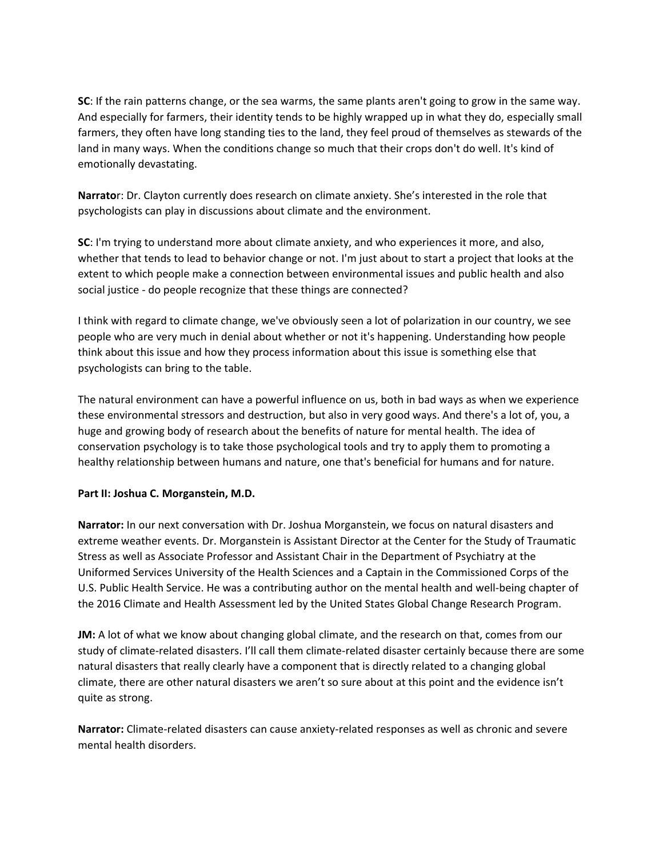**SC**: If the rain patterns change, or the sea warms, the same plants aren't going to grow in the same way. And especially for farmers, their identity tends to be highly wrapped up in what they do, especially small farmers, they often have long standing ties to the land, they feel proud of themselves as stewards of the land in many ways. When the conditions change so much that their crops don't do well. It's kind of emotionally devastating.

**Narrato**r: Dr. Clayton currently does research on climate anxiety. She's interested in the role that psychologists can play in discussions about climate and the environment.

**SC**: I'm trying to understand more about climate anxiety, and who experiences it more, and also, whether that tends to lead to behavior change or not. I'm just about to start a project that looks at the extent to which people make a connection between environmental issues and public health and also social justice - do people recognize that these things are connected?

I think with regard to climate change, we've obviously seen a lot of polarization in our country, we see people who are very much in denial about whether or not it's happening. Understanding how people think about this issue and how they process information about this issue is something else that psychologists can bring to the table.

The natural environment can have a powerful influence on us, both in bad ways as when we experience these environmental stressors and destruction, but also in very good ways. And there's a lot of, you, a huge and growing body of research about the benefits of nature for mental health. The idea of conservation psychology is to take those psychological tools and try to apply them to promoting a healthy relationship between humans and nature, one that's beneficial for humans and for nature.

## **Part II: Joshua C. Morganstein, M.D.**

**Narrator:** In our next conversation with Dr. Joshua Morganstein, we focus on natural disasters and extreme weather events. Dr. Morganstein is Assistant Director at the Center for the Study of Traumatic Stress as well as Associate Professor and Assistant Chair in the Department of Psychiatry at the Uniformed Services University of the Health Sciences and a Captain in the Commissioned Corps of the U.S. Public Health Service. He was a contributing author on the mental health and well-being chapter of the 2016 Climate and Health Assessment led by the United States Global Change Research Program.

**JM:** A lot of what we know about changing global climate, and the research on that, comes from our study of climate-related disasters. I'll call them climate-related disaster certainly because there are some natural disasters that really clearly have a component that is directly related to a changing global climate, there are other natural disasters we aren't so sure about at this point and the evidence isn't quite as strong.

**Narrator:** Climate-related disasters can cause anxiety-related responses as well as chronic and severe mental health disorders.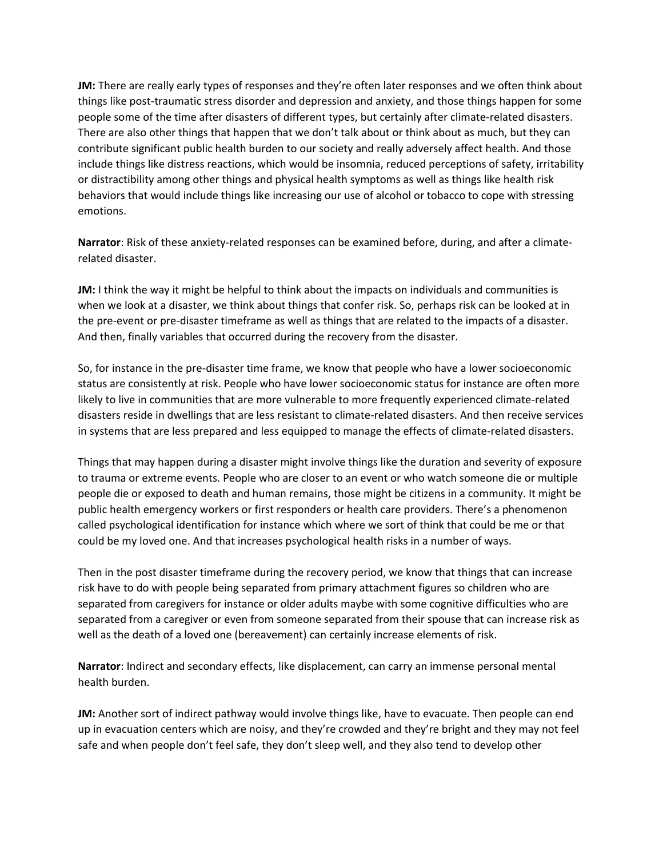**JM:** There are really early types of responses and they're often later responses and we often think about things like post-traumatic stress disorder and depression and anxiety, and those things happen for some people some of the time after disasters of different types, but certainly after climate-related disasters. There are also other things that happen that we don't talk about or think about as much, but they can contribute significant public health burden to our society and really adversely affect health. And those include things like distress reactions, which would be insomnia, reduced perceptions of safety, irritability or distractibility among other things and physical health symptoms as well as things like health risk behaviors that would include things like increasing our use of alcohol or tobacco to cope with stressing emotions.

**Narrator**: Risk of these anxiety-related responses can be examined before, during, and after a climaterelated disaster.

**JM:** I think the way it might be helpful to think about the impacts on individuals and communities is when we look at a disaster, we think about things that confer risk. So, perhaps risk can be looked at in the pre-event or pre-disaster timeframe as well as things that are related to the impacts of a disaster. And then, finally variables that occurred during the recovery from the disaster.

So, for instance in the pre-disaster time frame, we know that people who have a lower socioeconomic status are consistently at risk. People who have lower socioeconomic status for instance are often more likely to live in communities that are more vulnerable to more frequently experienced climate-related disasters reside in dwellings that are less resistant to climate-related disasters. And then receive services in systems that are less prepared and less equipped to manage the effects of climate-related disasters.

Things that may happen during a disaster might involve things like the duration and severity of exposure to trauma or extreme events. People who are closer to an event or who watch someone die or multiple people die or exposed to death and human remains, those might be citizens in a community. It might be public health emergency workers or first responders or health care providers. There's a phenomenon called psychological identification for instance which where we sort of think that could be me or that could be my loved one. And that increases psychological health risks in a number of ways.

Then in the post disaster timeframe during the recovery period, we know that things that can increase risk have to do with people being separated from primary attachment figures so children who are separated from caregivers for instance or older adults maybe with some cognitive difficulties who are separated from a caregiver or even from someone separated from their spouse that can increase risk as well as the death of a loved one (bereavement) can certainly increase elements of risk.

**Narrator**: Indirect and secondary effects, like displacement, can carry an immense personal mental health burden.

**JM:** Another sort of indirect pathway would involve things like, have to evacuate. Then people can end up in evacuation centers which are noisy, and they're crowded and they're bright and they may not feel safe and when people don't feel safe, they don't sleep well, and they also tend to develop other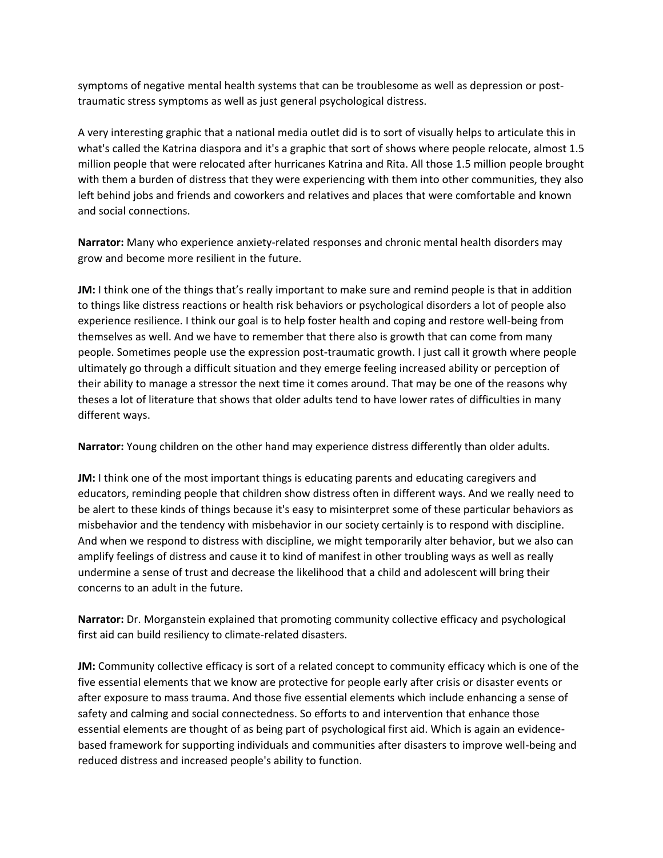symptoms of negative mental health systems that can be troublesome as well as depression or posttraumatic stress symptoms as well as just general psychological distress.

A very interesting graphic that a national media outlet did is to sort of visually helps to articulate this in what's called the Katrina diaspora and it's a graphic that sort of shows where people relocate, almost 1.5 million people that were relocated after hurricanes Katrina and Rita. All those 1.5 million people brought with them a burden of distress that they were experiencing with them into other communities, they also left behind jobs and friends and coworkers and relatives and places that were comfortable and known and social connections.

**Narrator:** Many who experience anxiety-related responses and chronic mental health disorders may grow and become more resilient in the future.

**JM:** I think one of the things that's really important to make sure and remind people is that in addition to things like distress reactions or health risk behaviors or psychological disorders a lot of people also experience resilience. I think our goal is to help foster health and coping and restore well-being from themselves as well. And we have to remember that there also is growth that can come from many people. Sometimes people use the expression post-traumatic growth. I just call it growth where people ultimately go through a difficult situation and they emerge feeling increased ability or perception of their ability to manage a stressor the next time it comes around. That may be one of the reasons why theses a lot of literature that shows that older adults tend to have lower rates of difficulties in many different ways.

**Narrator:** Young children on the other hand may experience distress differently than older adults.

**JM:** I think one of the most important things is educating parents and educating caregivers and educators, reminding people that children show distress often in different ways. And we really need to be alert to these kinds of things because it's easy to misinterpret some of these particular behaviors as misbehavior and the tendency with misbehavior in our society certainly is to respond with discipline. And when we respond to distress with discipline, we might temporarily alter behavior, but we also can amplify feelings of distress and cause it to kind of manifest in other troubling ways as well as really undermine a sense of trust and decrease the likelihood that a child and adolescent will bring their concerns to an adult in the future.

**Narrator:** Dr. Morganstein explained that promoting community collective efficacy and psychological first aid can build resiliency to climate-related disasters.

**JM:** Community collective efficacy is sort of a related concept to community efficacy which is one of the five essential elements that we know are protective for people early after crisis or disaster events or after exposure to mass trauma. And those five essential elements which include enhancing a sense of safety and calming and social connectedness. So efforts to and intervention that enhance those essential elements are thought of as being part of psychological first aid. Which is again an evidencebased framework for supporting individuals and communities after disasters to improve well-being and reduced distress and increased people's ability to function.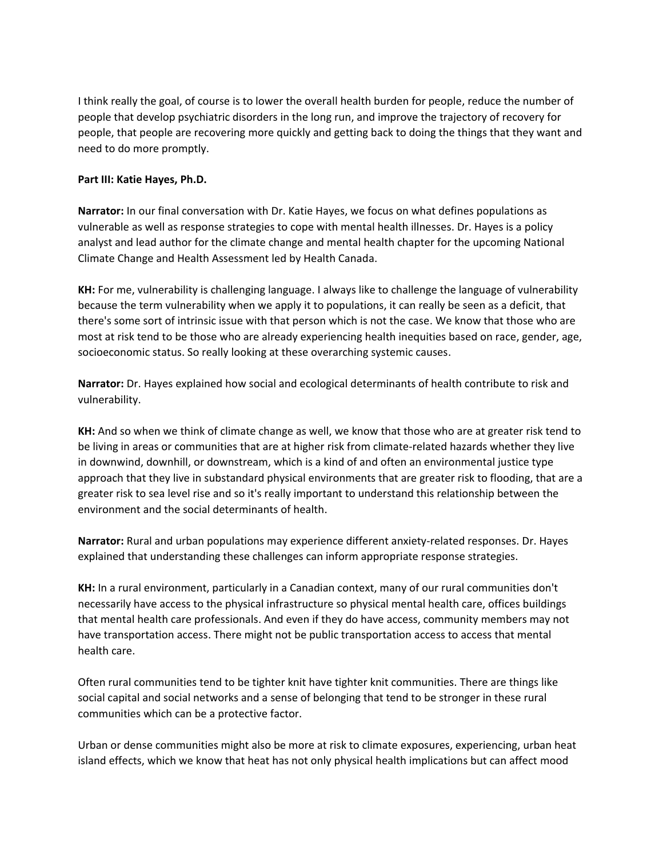I think really the goal, of course is to lower the overall health burden for people, reduce the number of people that develop psychiatric disorders in the long run, and improve the trajectory of recovery for people, that people are recovering more quickly and getting back to doing the things that they want and need to do more promptly.

## **Part III: Katie Hayes, Ph.D.**

**Narrator:** In our final conversation with Dr. Katie Hayes, we focus on what defines populations as vulnerable as well as response strategies to cope with mental health illnesses. Dr. Hayes is a policy analyst and lead author for the climate change and mental health chapter for the upcoming National Climate Change and Health Assessment led by Health Canada.

**KH:** For me, vulnerability is challenging language. I always like to challenge the language of vulnerability because the term vulnerability when we apply it to populations, it can really be seen as a deficit, that there's some sort of intrinsic issue with that person which is not the case. We know that those who are most at risk tend to be those who are already experiencing health inequities based on race, gender, age, socioeconomic status. So really looking at these overarching systemic causes.

**Narrator:** Dr. Hayes explained how social and ecological determinants of health contribute to risk and vulnerability.

**KH:** And so when we think of climate change as well, we know that those who are at greater risk tend to be living in areas or communities that are at higher risk from climate-related hazards whether they live in downwind, downhill, or downstream, which is a kind of and often an environmental justice type approach that they live in substandard physical environments that are greater risk to flooding, that are a greater risk to sea level rise and so it's really important to understand this relationship between the environment and the social determinants of health.

**Narrator:** Rural and urban populations may experience different anxiety-related responses. Dr. Hayes explained that understanding these challenges can inform appropriate response strategies.

**KH:** In a rural environment, particularly in a Canadian context, many of our rural communities don't necessarily have access to the physical infrastructure so physical mental health care, offices buildings that mental health care professionals. And even if they do have access, community members may not have transportation access. There might not be public transportation access to access that mental health care.

Often rural communities tend to be tighter knit have tighter knit communities. There are things like social capital and social networks and a sense of belonging that tend to be stronger in these rural communities which can be a protective factor.

Urban or dense communities might also be more at risk to climate exposures, experiencing, urban heat island effects, which we know that heat has not only physical health implications but can affect mood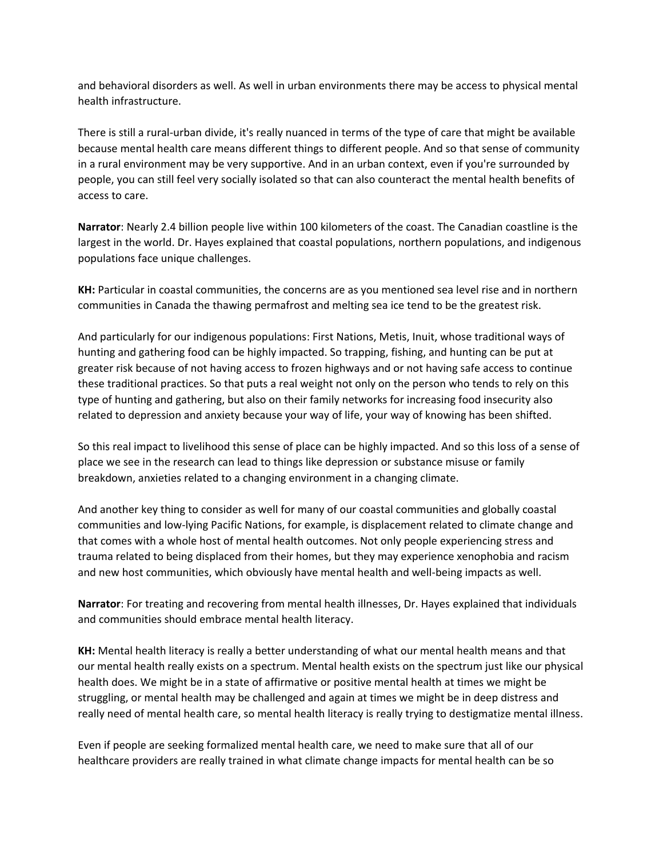and behavioral disorders as well. As well in urban environments there may be access to physical mental health infrastructure.

There is still a rural-urban divide, it's really nuanced in terms of the type of care that might be available because mental health care means different things to different people. And so that sense of community in a rural environment may be very supportive. And in an urban context, even if you're surrounded by people, you can still feel very socially isolated so that can also counteract the mental health benefits of access to care.

**Narrator**: Nearly 2.4 billion people live within 100 kilometers of the coast. The Canadian coastline is the largest in the world. Dr. Hayes explained that coastal populations, northern populations, and indigenous populations face unique challenges.

**KH:** Particular in coastal communities, the concerns are as you mentioned sea level rise and in northern communities in Canada the thawing permafrost and melting sea ice tend to be the greatest risk.

And particularly for our indigenous populations: First Nations, Metis, Inuit, whose traditional ways of hunting and gathering food can be highly impacted. So trapping, fishing, and hunting can be put at greater risk because of not having access to frozen highways and or not having safe access to continue these traditional practices. So that puts a real weight not only on the person who tends to rely on this type of hunting and gathering, but also on their family networks for increasing food insecurity also related to depression and anxiety because your way of life, your way of knowing has been shifted.

So this real impact to livelihood this sense of place can be highly impacted. And so this loss of a sense of place we see in the research can lead to things like depression or substance misuse or family breakdown, anxieties related to a changing environment in a changing climate.

And another key thing to consider as well for many of our coastal communities and globally coastal communities and low-lying Pacific Nations, for example, is displacement related to climate change and that comes with a whole host of mental health outcomes. Not only people experiencing stress and trauma related to being displaced from their homes, but they may experience xenophobia and racism and new host communities, which obviously have mental health and well-being impacts as well.

**Narrator**: For treating and recovering from mental health illnesses, Dr. Hayes explained that individuals and communities should embrace mental health literacy.

**KH:** Mental health literacy is really a better understanding of what our mental health means and that our mental health really exists on a spectrum. Mental health exists on the spectrum just like our physical health does. We might be in a state of affirmative or positive mental health at times we might be struggling, or mental health may be challenged and again at times we might be in deep distress and really need of mental health care, so mental health literacy is really trying to destigmatize mental illness.

Even if people are seeking formalized mental health care, we need to make sure that all of our healthcare providers are really trained in what climate change impacts for mental health can be so